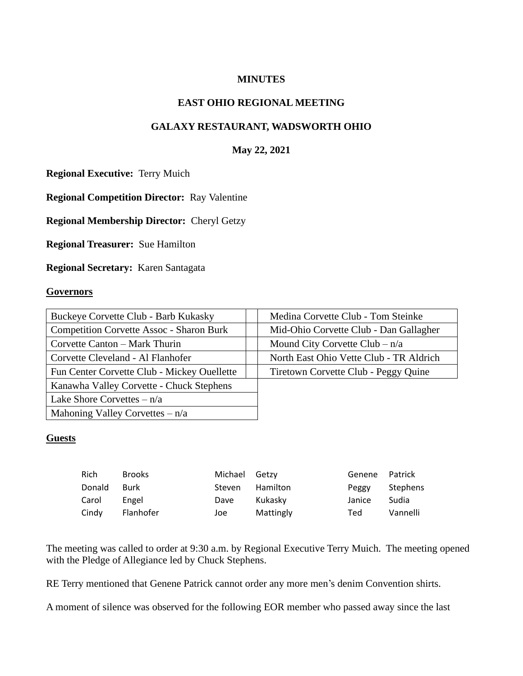## **MINUTES**

## **EAST OHIO REGIONAL MEETING**

# **GALAXY RESTAURANT, WADSWORTH OHIO**

## **May 22, 2021**

**Regional Executive:** Terry Muich

**Regional Competition Director:** Ray Valentine

**Regional Membership Director:** Cheryl Getzy

**Regional Treasurer:** Sue Hamilton

**Regional Secretary:** Karen Santagata

#### **Governors**

| Buckeye Corvette Club - Barb Kukasky            | Medina Corvette Club - Tom Steinke      |  |  |
|-------------------------------------------------|-----------------------------------------|--|--|
| <b>Competition Corvette Assoc - Sharon Burk</b> | Mid-Ohio Corvette Club - Dan Gallagher  |  |  |
| Corvette Canton – Mark Thurin                   | Mound City Corvette Club $- n/a$        |  |  |
| Corvette Cleveland - Al Flanhofer               | North East Ohio Vette Club - TR Aldrich |  |  |
|                                                 |                                         |  |  |
| Fun Center Corvette Club - Mickey Ouellette     | Tiretown Corvette Club - Peggy Quine    |  |  |
| Kanawha Valley Corvette - Chuck Stephens        |                                         |  |  |
| Lake Shore Corvettes $-n/a$                     |                                         |  |  |
| Mahoning Valley Corvettes $-n/a$                |                                         |  |  |

#### **Guests**

| <b>Rich</b> | <b>Brooks</b> | Michael Getzy |           | Genene Patrick |          |
|-------------|---------------|---------------|-----------|----------------|----------|
| Donald      | Burk          | Steven        | Hamilton  | Peggy          | Stephens |
| Carol       | Engel         | Dave          | Kukaskv   | Janice         | Sudia    |
| Cindy       | Flanhofer     | Joe           | Mattingly | Ted            | Vannelli |

The meeting was called to order at 9:30 a.m. by Regional Executive Terry Muich. The meeting opened with the Pledge of Allegiance led by Chuck Stephens.

RE Terry mentioned that Genene Patrick cannot order any more men's denim Convention shirts.

A moment of silence was observed for the following EOR member who passed away since the last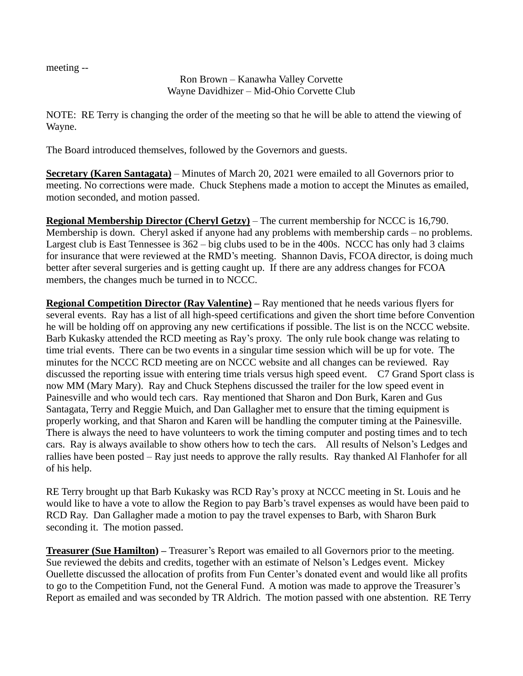meeting --

Ron Brown – Kanawha Valley Corvette Wayne Davidhizer – Mid-Ohio Corvette Club

NOTE: RE Terry is changing the order of the meeting so that he will be able to attend the viewing of Wayne.

The Board introduced themselves, followed by the Governors and guests.

**Secretary (Karen Santagata)** – Minutes of March 20, 2021 were emailed to all Governors prior to meeting. No corrections were made. Chuck Stephens made a motion to accept the Minutes as emailed, motion seconded, and motion passed.

**Regional Membership Director (Cheryl Getzy)** – The current membership for NCCC is 16,790. Membership is down. Cheryl asked if anyone had any problems with membership cards – no problems. Largest club is East Tennessee is 362 – big clubs used to be in the 400s. NCCC has only had 3 claims for insurance that were reviewed at the RMD's meeting. Shannon Davis, FCOA director, is doing much better after several surgeries and is getting caught up. If there are any address changes for FCOA members, the changes much be turned in to NCCC.

**Regional Competition Director (Ray Valentine) –** Ray mentioned that he needs various flyers for several events. Ray has a list of all high-speed certifications and given the short time before Convention he will be holding off on approving any new certifications if possible. The list is on the NCCC website. Barb Kukasky attended the RCD meeting as Ray's proxy. The only rule book change was relating to time trial events. There can be two events in a singular time session which will be up for vote. The minutes for the NCCC RCD meeting are on NCCC website and all changes can be reviewed. Ray discussed the reporting issue with entering time trials versus high speed event. C7 Grand Sport class is now MM (Mary Mary). Ray and Chuck Stephens discussed the trailer for the low speed event in Painesville and who would tech cars. Ray mentioned that Sharon and Don Burk, Karen and Gus Santagata, Terry and Reggie Muich, and Dan Gallagher met to ensure that the timing equipment is properly working, and that Sharon and Karen will be handling the computer timing at the Painesville. There is always the need to have volunteers to work the timing computer and posting times and to tech cars. Ray is always available to show others how to tech the cars. All results of Nelson's Ledges and rallies have been posted – Ray just needs to approve the rally results. Ray thanked Al Flanhofer for all of his help.

RE Terry brought up that Barb Kukasky was RCD Ray's proxy at NCCC meeting in St. Louis and he would like to have a vote to allow the Region to pay Barb's travel expenses as would have been paid to RCD Ray. Dan Gallagher made a motion to pay the travel expenses to Barb, with Sharon Burk seconding it. The motion passed.

**Treasurer (Sue Hamilton) –** Treasurer's Report was emailed to all Governors prior to the meeting. Sue reviewed the debits and credits, together with an estimate of Nelson's Ledges event. Mickey Ouellette discussed the allocation of profits from Fun Center's donated event and would like all profits to go to the Competition Fund, not the General Fund. A motion was made to approve the Treasurer's Report as emailed and was seconded by TR Aldrich. The motion passed with one abstention. RE Terry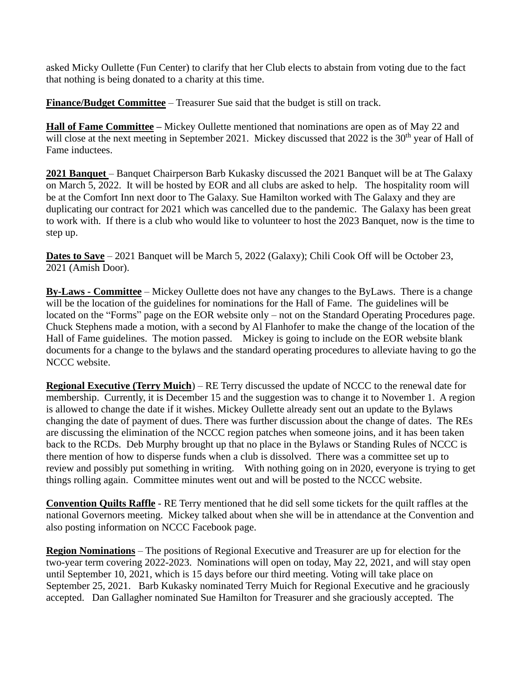asked Micky Oullette (Fun Center) to clarify that her Club elects to abstain from voting due to the fact that nothing is being donated to a charity at this time.

**Finance/Budget Committee** – Treasurer Sue said that the budget is still on track.

**Hall of Fame Committee –** Mickey Oullette mentioned that nominations are open as of May 22 and will close at the next meeting in September 2021. Mickey discussed that 2022 is the 30<sup>th</sup> year of Hall of Fame inductees.

**2021 Banquet** – Banquet Chairperson Barb Kukasky discussed the 2021 Banquet will be at The Galaxy on March 5, 2022. It will be hosted by EOR and all clubs are asked to help. The hospitality room will be at the Comfort Inn next door to The Galaxy. Sue Hamilton worked with The Galaxy and they are duplicating our contract for 2021 which was cancelled due to the pandemic. The Galaxy has been great to work with. If there is a club who would like to volunteer to host the 2023 Banquet, now is the time to step up.

**Dates to Save** – 2021 Banquet will be March 5, 2022 (Galaxy); Chili Cook Off will be October 23, 2021 (Amish Door).

**By-Laws - Committee** – Mickey Oullette does not have any changes to the ByLaws. There is a change will be the location of the guidelines for nominations for the Hall of Fame. The guidelines will be located on the "Forms" page on the EOR website only – not on the Standard Operating Procedures page. Chuck Stephens made a motion, with a second by Al Flanhofer to make the change of the location of the Hall of Fame guidelines. The motion passed. Mickey is going to include on the EOR website blank documents for a change to the bylaws and the standard operating procedures to alleviate having to go the NCCC website.

**Regional Executive (Terry Muich**) – RE Terry discussed the update of NCCC to the renewal date for membership. Currently, it is December 15 and the suggestion was to change it to November 1. A region is allowed to change the date if it wishes. Mickey Oullette already sent out an update to the Bylaws changing the date of payment of dues. There was further discussion about the change of dates. The REs are discussing the elimination of the NCCC region patches when someone joins, and it has been taken back to the RCDs. Deb Murphy brought up that no place in the Bylaws or Standing Rules of NCCC is there mention of how to disperse funds when a club is dissolved. There was a committee set up to review and possibly put something in writing. With nothing going on in 2020, everyone is trying to get things rolling again. Committee minutes went out and will be posted to the NCCC website.

**Convention Quilts Raffle** - RE Terry mentioned that he did sell some tickets for the quilt raffles at the national Governors meeting. Mickey talked about when she will be in attendance at the Convention and also posting information on NCCC Facebook page.

**Region Nominations** – The positions of Regional Executive and Treasurer are up for election for the two-year term covering 2022-2023. Nominations will open on today, May 22, 2021, and will stay open until September 10, 2021, which is 15 days before our third meeting. Voting will take place on September 25, 2021. Barb Kukasky nominated Terry Muich for Regional Executive and he graciously accepted. Dan Gallagher nominated Sue Hamilton for Treasurer and she graciously accepted. The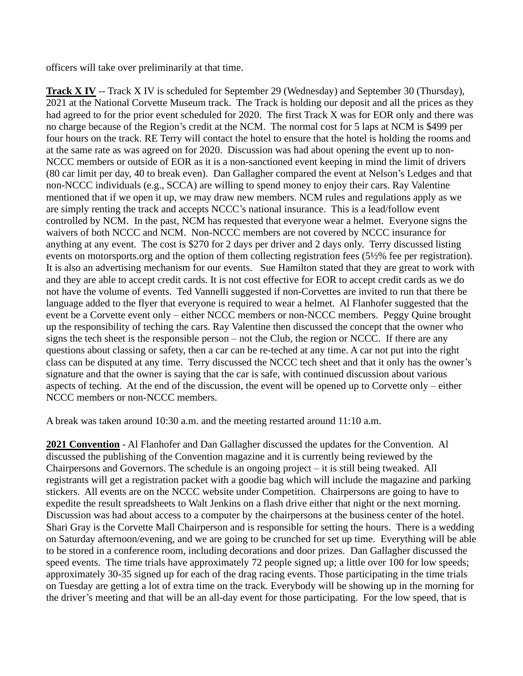officers will take over preliminarily at that time.

**Track X IV** -- Track X IV is scheduled for September 29 (Wednesday) and September 30 (Thursday), 2021 at the National Corvette Museum track. The Track is holding our deposit and all the prices as they had agreed to for the prior event scheduled for 2020. The first Track X was for EOR only and there was no charge because of the Region's credit at the NCM. The normal cost for 5 laps at NCM is \$499 per four hours on the track. RE Terry will contact the hotel to ensure that the hotel is holding the rooms and at the same rate as was agreed on for 2020. Discussion was had about opening the event up to non-NCCC members or outside of EOR as it is a non-sanctioned event keeping in mind the limit of drivers (80 car limit per day, 40 to break even). Dan Gallagher compared the event at Nelson's Ledges and that non-NCCC individuals (e.g., SCCA) are willing to spend money to enjoy their cars. Ray Valentine mentioned that if we open it up, we may draw new members. NCM rules and regulations apply as we are simply renting the track and accepts NCCC's national insurance. This is a lead/follow event controlled by NCM. In the past, NCM has requested that everyone wear a helmet. Everyone signs the waivers of both NCCC and NCM. Non-NCCC members are not covered by NCCC insurance for anything at any event. The cost is \$270 for 2 days per driver and 2 days only. Terry discussed listing events on motorsports.org and the option of them collecting registration fees (5½% fee per registration). It is also an advertising mechanism for our events. Sue Hamilton stated that they are great to work with and they are able to accept credit cards. It is not cost effective for EOR to accept credit cards as we do not have the volume of events. Ted Vannelli suggested if non-Corvettes are invited to run that there be language added to the flyer that everyone is required to wear a helmet. Al Flanhofer suggested that the event be a Corvette event only – either NCCC members or non-NCCC members. Peggy Quine brought up the responsibility of teching the cars. Ray Valentine then discussed the concept that the owner who signs the tech sheet is the responsible person – not the Club, the region or NCCC. If there are any questions about classing or safety, then a car can be re-teched at any time. A car not put into the right class can be disputed at any time. Terry discussed the NCCC tech sheet and that it only has the owner's signature and that the owner is saying that the car is safe, with continued discussion about various aspects of teching. At the end of the discussion, the event will be opened up to Corvette only – either NCCC members or non-NCCC members.

A break was taken around 10:30 a.m. and the meeting restarted around 11:10 a.m.

**2021 Convention** - Al Flanhofer and Dan Gallagher discussed the updates for the Convention. Al discussed the publishing of the Convention magazine and it is currently being reviewed by the Chairpersons and Governors. The schedule is an ongoing project – it is still being tweaked. All registrants will get a registration packet with a goodie bag which will include the magazine and parking stickers. All events are on the NCCC website under Competition. Chairpersons are going to have to expedite the result spreadsheets to Walt Jenkins on a flash drive either that night or the next morning. Discussion was had about access to a computer by the chairpersons at the business center of the hotel. Shari Gray is the Corvette Mall Chairperson and is responsible for setting the hours. There is a wedding on Saturday afternoon/evening, and we are going to be crunched for set up time. Everything will be able to be stored in a conference room, including decorations and door prizes. Dan Gallagher discussed the speed events. The time trials have approximately 72 people signed up; a little over 100 for low speeds; approximately 30-35 signed up for each of the drag racing events. Those participating in the time trials on Tuesday are getting a lot of extra time on the track. Everybody will be showing up in the morning for the driver's meeting and that will be an all-day event for those participating. For the low speed, that is